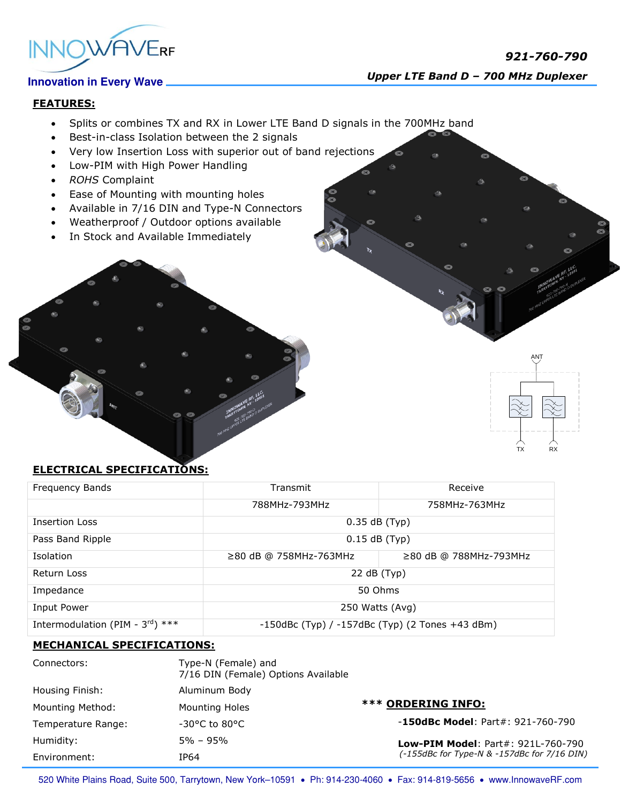

# *921-760-790 Upper LTE Band <sup>D</sup>– 700 MHz Duplexer*

### **FEATURES:**

- Splits or combines TX and RX in Lower LTE Band D signals in the 700MHz band
- Best-in-class Isolation between the 2 signals
- Very low Insertion Loss with superior out of band rejections
- Low-PIM with High Power Handling
- *ROHS* Complaint
- Ease of Mounting with mounting holes
- Available in 7/16 DIN and Type-N Connectors
- Weatherproof / Outdoor options available
- In Stock and Available Immediately



## **ELECTRICAL SPECIFICATIONS:**

| Frequency Bands                              | Transmit                                              | Receive                      |
|----------------------------------------------|-------------------------------------------------------|------------------------------|
|                                              | 788MHz-793MHz                                         | 758MHz-763MHz                |
| <b>Insertion Loss</b>                        | $0.35$ dB (Typ)                                       |                              |
| Pass Band Ripple                             | $0.15$ dB (Typ)                                       |                              |
| Isolation                                    | $\geq$ 80 dB @ 758MHz-763MHz                          | $\geq$ 80 dB @ 788MHz-793MHz |
| Return Loss                                  | 22 dB (Typ)                                           |                              |
| Impedance                                    | 50 Ohms                                               |                              |
| Input Power                                  | 250 Watts (Avg)                                       |                              |
| Intermodulation (PIM - $3^{\text{rd}}$ ) *** | $-150$ dBc (Typ) / $-157$ dBc (Typ) (2 Tones +43 dBm) |                              |

#### **MECHANICAL SPECIFICATIONS:**

| Connectors:             | Type-N (Female) and<br>7/16 DIN (Female) Options Available |                                                                                          |
|-------------------------|------------------------------------------------------------|------------------------------------------------------------------------------------------|
| Housing Finish:         | Aluminum Body                                              |                                                                                          |
| <b>Mounting Method:</b> | Mounting Holes                                             | <b>*** ORDERING INFO:</b>                                                                |
| Temperature Range:      | $-30^{\circ}$ C to 80°C                                    | $-150$ dBc Model: Part#: 921-760-790                                                     |
| Humidity:               | $5\% - 95\%$                                               | <b>Low-PIM Model: Part#: 921L-760-790</b><br>(-155dBc for Type-N & -157dBc for 7/16 DIN) |
| Environment:            | IP64                                                       |                                                                                          |

520 White Plains Road, Suite 500, Tarrytown, New York-10591 . Ph: 914-230-4060 . Fax: 914-819-5656 . www.InnowaveRF.com